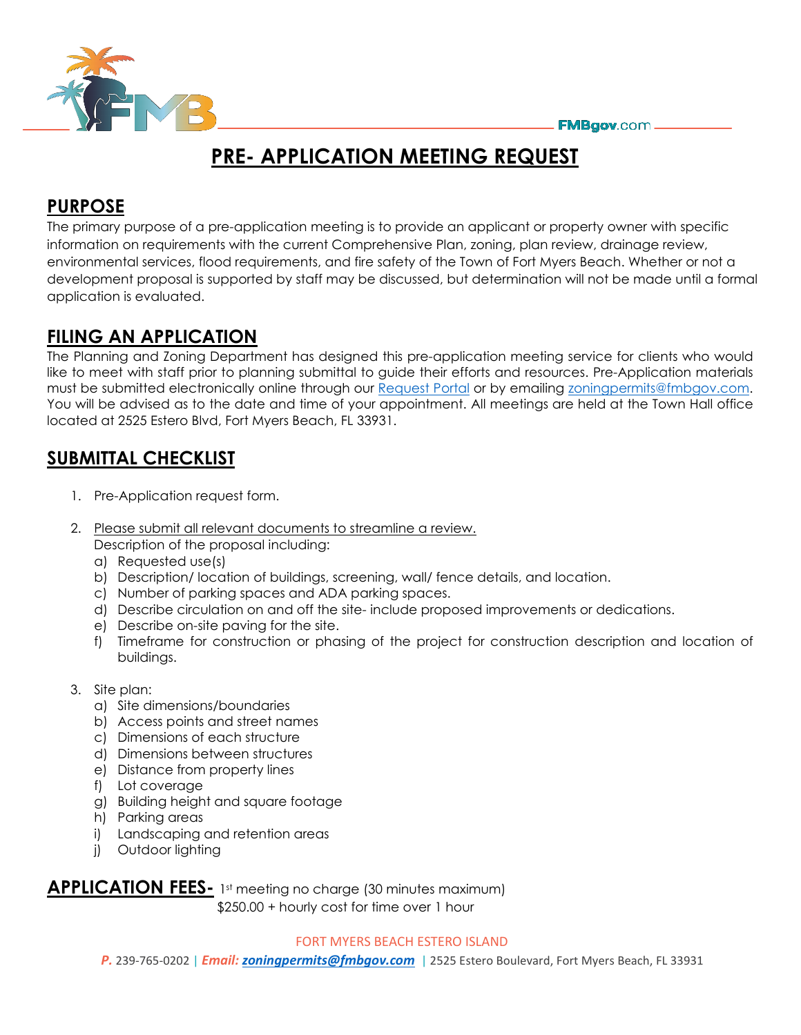

# **PRE- APPLICATION MEETING REQUEST**

### **PURPOSE**

The primary purpose of a pre-application meeting is to provide an applicant or property owner with specific information on requirements with the current Comprehensive Plan, zoning, plan review, drainage review, environmental services, flood requirements, and fire safety of the Town of Fort Myers Beach. Whether or not a development proposal is supported by staff may be discussed, but determination will not be made until a formal application is evaluated.

## **FILING AN APPLICATION**

The Planning and Zoning Department has designed this pre-application meeting service for clients who would like to meet with staff prior to planning submittal to guide their efforts and resources. Pre-Application materials must be submitted electronically online through our [Request Portal](https://fortmyers.portal.iworq.net/portalhome/fortmyers) or by emailing [zoningpermits@fmbgov.com.](mailto:zoningpermits@fmbgov.com) You will be advised as to the date and time of your appointment. All meetings are held at the Town Hall office located at 2525 Estero Blvd, Fort Myers Beach, FL 33931.

## **SUBMITTAL CHECKLIST**

- 1. Pre-Application request form.
- 2. Please submit all relevant documents to streamline a review.

Description of the proposal including:

- a) Requested use(s)
- b) Description/ location of buildings, screening, wall/ fence details, and location.
- c) Number of parking spaces and ADA parking spaces.
- d) Describe circulation on and off the site- include proposed improvements or dedications.
- e) Describe on-site paving for the site.
- f) Timeframe for construction or phasing of the project for construction description and location of buildings.
- 3. Site plan:
	- a) Site dimensions/boundaries
	- b) Access points and street names
	- c) Dimensions of each structure
	- d) Dimensions between structures
	- e) Distance from property lines
	- f) Lot coverage
	- g) Building height and square footage
	- h) Parking areas
	- i) Landscaping and retention areas
	- j) Outdoor lighting

**APPLICATION FEES-** 1st meeting no charge (30 minutes maximum) \$250.00 + hourly cost for time over 1 hour

#### FORT MYERS BEACH ESTERO ISLAND